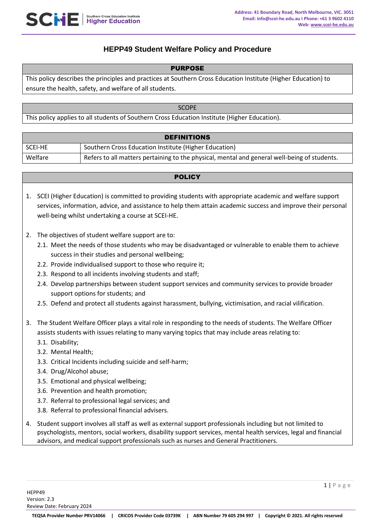

# **HEPP49 Student Welfare Policy and Procedure**

#### PURPOSE

This policy describes the principles and practices at Southern Cross Education Institute (Higher Education) to ensure the health, safety, and welfare of all students.

| <b>SCOPE</b>                                                                                  |  |
|-----------------------------------------------------------------------------------------------|--|
| This policy applies to all students of Southern Cross Education Institute (Higher Education). |  |
|                                                                                               |  |

| <b>DEFINITIONS</b> |                                                                                              |  |
|--------------------|----------------------------------------------------------------------------------------------|--|
| l Scei-he          | Southern Cross Education Institute (Higher Education)                                        |  |
| Welfare            | Refers to all matters pertaining to the physical, mental and general well-being of students. |  |

### **POLICY**

- 1. SCEI (Higher Education) is committed to providing students with appropriate academic and welfare support services, information, advice, and assistance to help them attain academic success and improve their personal well-being whilst undertaking a course at SCEI-HE.
- 2. The objectives of student welfare support are to:
	- 2.1. Meet the needs of those students who may be disadvantaged or vulnerable to enable them to achieve success in their studies and personal wellbeing;
	- 2.2. Provide individualised support to those who require it;
	- 2.3. Respond to all incidents involving students and staff;
	- 2.4. Develop partnerships between student support services and community services to provide broader support options for students; and
	- 2.5. Defend and protect all students against harassment, bullying, victimisation, and racial vilification.
- 3. The Student Welfare Officer plays a vital role in responding to the needs of students. The Welfare Officer assists students with issues relating to many varying topics that may include areas relating to:
	- 3.1. Disability;
	- 3.2. Mental Health;
	- 3.3. Critical Incidents including suicide and self-harm;
	- 3.4. Drug/Alcohol abuse;
	- 3.5. Emotional and physical wellbeing;
	- 3.6. Prevention and health promotion;
	- 3.7. Referral to professional legal services; and
	- 3.8. Referral to professional financial advisers.
- 4. Student support involves all staff as well as external support professionals including but not limited to psychologists, mentors, social workers, disability support services, mental health services, legal and financial advisors, and medical support professionals such as nurses and General Practitioners.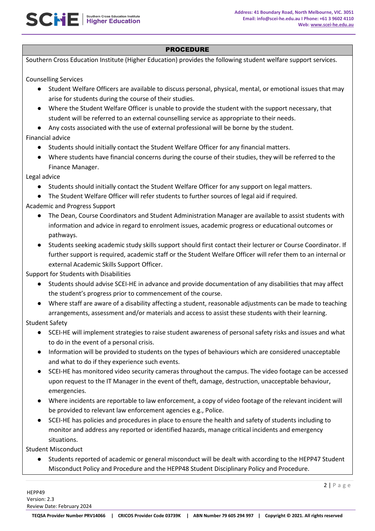Southern Cross Education Institute (Higher Education) provides the following student welfare support services.

Counselling Services

**SCHE** | Southern Cross Education Institute

- Student Welfare Officers are available to discuss personal, physical, mental, or emotional issues that may arise for students during the course of their studies.
- Where the Student Welfare Officer is unable to provide the student with the support necessary, that student will be referred to an external counselling service as appropriate to their needs.
- Any costs associated with the use of external professional will be borne by the student.

Financial advice

- Students should initially contact the Student Welfare Officer for any financial matters.
- Where students have financial concerns during the course of their studies, they will be referred to the Finance Manager.

Legal advice

- Students should initially contact the Student Welfare Officer for any support on legal matters.
- The Student Welfare Officer will refer students to further sources of legal aid if required.

Academic and Progress Support

- The Dean, Course Coordinators and Student Administration Manager are available to assist students with information and advice in regard to enrolment issues, academic progress or educational outcomes or pathways.
- Students seeking academic study skills support should first contact their lecturer or Course Coordinator. If further support is required, academic staff or the Student Welfare Officer will refer them to an internal or external Academic Skills Support Officer.

Support for Students with Disabilities

- Students should advise SCEI-HE in advance and provide documentation of any disabilities that may affect the student's progress prior to commencement of the course.
- Where staff are aware of a disability affecting a student, reasonable adjustments can be made to teaching arrangements, assessment and/or materials and access to assist these students with their learning.

Student Safety

- SCEI-HE will implement strategies to raise student awareness of personal safety risks and issues and what to do in the event of a personal crisis.
- Information will be provided to students on the types of behaviours which are considered unacceptable and what to do if they experience such events.
- SCEI-HE has monitored video security cameras throughout the campus. The video footage can be accessed upon request to the IT Manager in the event of theft, damage, destruction, unacceptable behaviour, emergencies.
- Where incidents are reportable to law enforcement, a copy of video footage of the relevant incident will be provided to relevant law enforcement agencies e.g., Police.
- SCEI-HE has policies and procedures in place to ensure the health and safety of students including to monitor and address any reported or identified hazards, manage critical incidents and emergency situations.

Student Misconduct

Students reported of academic or general misconduct will be dealt with according to the HEPP47 Student Misconduct Policy and Procedure and the HEPP48 Student Disciplinary Policy and Procedure.